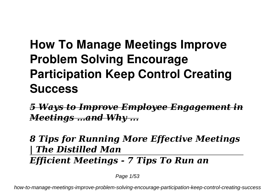# **How To Manage Meetings Improve Problem Solving Encourage Participation Keep Control Creating Success**

*5 Ways to Improve Employee Engagement in Meetings …and Why ...*

### *8 Tips for Running More Effective Meetings | The Distilled Man Efficient Meetings - 7 Tips To Run an*

Page 1/53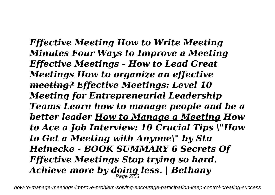*Effective Meeting How to Write Meeting Minutes Four Ways to Improve a Meeting Effective Meetings - How to Lead Great Meetings How to organize an effective meeting? Effective Meetings: Level 10 Meeting for Entrepreneurial Leadership Teams Learn how to manage people and be a better leader How to Manage a Meeting How to Ace a Job Interview: 10 Crucial Tips \"How to Get a Meeting with Anyone\" by Stu Heinecke - BOOK SUMMARY 6 Secrets Of Effective Meetings Stop trying so hard. Achieve more by doing less. | Bethany* Page 2/53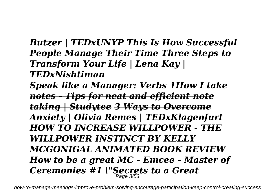### *Butzer | TEDxUNYP This Is How Successful People Manage Their Time Three Steps to Transform Your Life | Lena Kay | TEDxNishtiman*

*Speak like a Manager: Verbs 1How I take notes - Tips for neat and efficient note taking | Studytee 3 Ways to Overcome Anxiety | Olivia Remes | TEDxKlagenfurt HOW TO INCREASE WILLPOWER - THE WILLPOWER INSTINCT BY KELLY MCGONIGAL ANIMATED BOOK REVIEW How to be a great MC - Emcee - Master of Ceremonies #1 \"Secrets to a Great* Page 3/53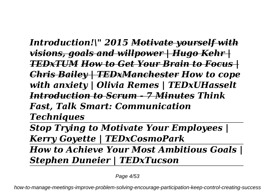*Introduction!\" 2015 Motivate yourself with visions, goals and willpower | Hugo Kehr | TEDxTUM How to Get Your Brain to Focus | Chris Bailey | TEDxManchester How to cope with anxiety | Olivia Remes | TEDxUHasselt Introduction to Scrum - 7 Minutes Think Fast, Talk Smart: Communication Techniques*

*Stop Trying to Motivate Your Employees | Kerry Goyette | TEDxCosmoPark*

*How to Achieve Your Most Ambitious Goals | Stephen Duneier | TEDxTucson*

Page 4/53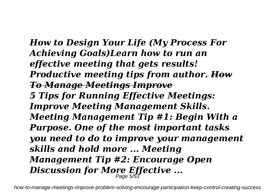*How to Design Your Life (My Process For Achieving Goals)Learn how to run an effective meeting that gets results! Productive meeting tips from author. How To Manage Meetings Improve 5 Tips for Running Effective Meetings: Improve Meeting Management Skills. Meeting Management Tip #1: Begin With a Purpose. One of the most important tasks you need to do to improve your management skills and hold more ... Meeting Management Tip #2: Encourage Open Discussion for More Effective ...* Page 5/53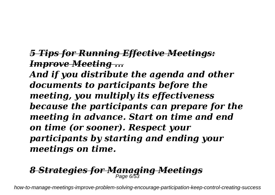### *5 Tips for Running Effective Meetings: Improve Meeting ...*

*And if you distribute the agenda and other documents to participants before the meeting, you multiply its effectiveness because the participants can prepare for the meeting in advance. Start on time and end on time (or sooner). Respect your participants by starting and ending your meetings on time.*

# *8 Strategies for Managing Meetings* Page 6/53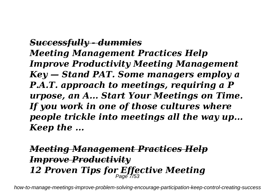*Successfully - dummies Meeting Management Practices Help Improve Productivity Meeting Management Key — Stand PAT. Some managers employ a P.A.T. approach to meetings, requiring a P urpose, an A... Start Your Meetings on Time. If you work in one of those cultures where people trickle into meetings all the way up... Keep the ...*

### *Meeting Management Practices Help Improve Productivity 12 Proven Tips for Effective Meeting* Page 7/53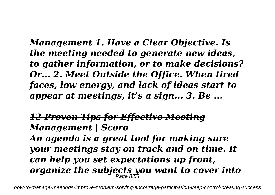*Management 1. Have a Clear Objective. Is the meeting needed to generate new ideas, to gather information, or to make decisions? Or... 2. Meet Outside the Office. When tired faces, low energy, and lack of ideas start to appear at meetings, it's a sign... 3. Be ...*

### *12 Proven Tips for Effective Meeting Management | Scoro*

*An agenda is a great tool for making sure your meetings stay on track and on time. It can help you set expectations up front, organize the subjects you want to cover into* Page 8/53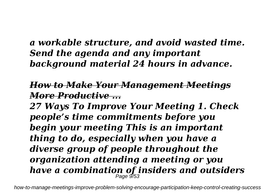### *a workable structure, and avoid wasted time. Send the agenda and any important background material 24 hours in advance.*

### *How to Make Your Management Meetings More Productive ...*

*27 Ways To Improve Your Meeting 1. Check people's time commitments before you begin your meeting This is an important thing to do, especially when you have a diverse group of people throughout the organization attending a meeting or you have a combination of insiders and outsiders* Page 9/53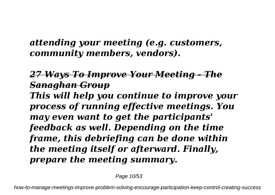### *attending your meeting (e.g. customers, community members, vendors).*

### *27 Ways To Improve Your Meeting - The Sanaghan Group*

*This will help you continue to improve your process of running effective meetings. You may even want to get the participants' feedback as well. Depending on the time frame, this debriefing can be done within the meeting itself or afterward. Finally, prepare the meeting summary.*

Page 10/53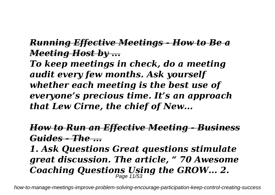#### *Running Effective Meetings - How to Be a Meeting Host by ...*

*To keep meetings in check, do a meeting audit every few months. Ask yourself whether each meeting is the best use of everyone's precious time. It's an approach that Lew Cirne, the chief of New...*

### *How to Run an Effective Meeting - Business Guides - The ...*

*1. Ask Questions Great questions stimulate great discussion. The article, " 70 Awesome Coaching Questions Using the GROW... 2.* Page 11/53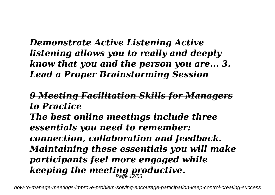### *Demonstrate Active Listening Active listening allows you to really and deeply know that you and the person you are... 3. Lead a Proper Brainstorming Session*

### *9 Meeting Facilitation Skills for Managers to Practice*

*The best online meetings include three essentials you need to remember: connection, collaboration and feedback. Maintaining these essentials you will make participants feel more engaged while keeping the meeting productive.* Page 12/53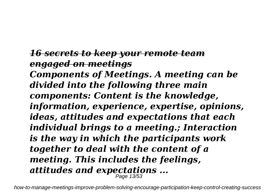*16 secrets to keep your remote team engaged on meetings Components of Meetings. A meeting can be divided into the following three main components: Content is the knowledge, information, experience, expertise, opinions, ideas, attitudes and expectations that each individual brings to a meeting.; Interaction is the way in which the participants work together to deal with the content of a meeting. This includes the feelings, attitudes and expectations ...* Page 13/53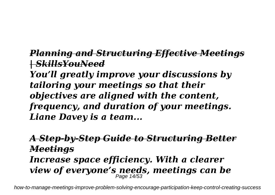### *Planning and Structuring Effective Meetings | SkillsYouNeed*

*You'll greatly improve your discussions by tailoring your meetings so that their objectives are aligned with the content, frequency, and duration of your meetings. Liane Davey is a team...*

### *A Step-by-Step Guide to Structuring Better Meetings Increase space efficiency. With a clearer view of everyone's needs, meetings can be* Page 14/53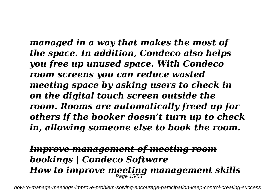*managed in a way that makes the most of the space. In addition, Condeco also helps you free up unused space. With Condeco room screens you can reduce wasted meeting space by asking users to check in on the digital touch screen outside the room. Rooms are automatically freed up for others if the booker doesn't turn up to check in, allowing someone else to book the room.*

## *Improve management of meeting room bookings | Condeco Software How to improve meeting management skills* Page 15/53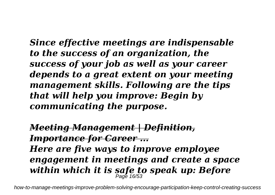*Since effective meetings are indispensable to the success of an organization, the success of your job as well as your career depends to a great extent on your meeting management skills. Following are the tips that will help you improve: Begin by communicating the purpose.*

*Meeting Management | Definition, Importance for Career ... Here are five ways to improve employee engagement in meetings and create a space within which it is safe to speak up: Before* Page 16/53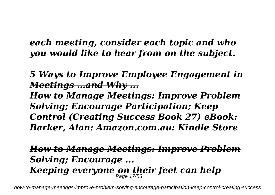### *each meeting, consider each topic and who you would like to hear from on the subject.*

*5 Ways to Improve Employee Engagement in Meetings …and Why ...*

*How to Manage Meetings: Improve Problem Solving; Encourage Participation; Keep Control (Creating Success Book 27) eBook: Barker, Alan: Amazon.com.au: Kindle Store*

### *How to Manage Meetings: Improve Problem Solving; Encourage ... Keeping everyone on their feet can help* Page 17/53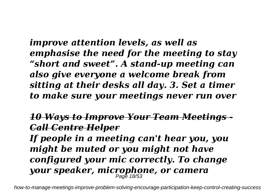*improve attention levels, as well as emphasise the need for the meeting to stay "short and sweet". A stand-up meeting can also give everyone a welcome break from sitting at their desks all day. 3. Set a timer to make sure your meetings never run over*

### *10 Ways to Improve Your Team Meetings - Call Centre Helper*

*If people in a meeting can't hear you, you might be muted or you might not have configured your mic correctly. To change your speaker, microphone, or camera* Page 18/53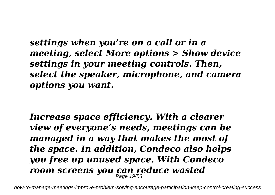*settings when you're on a call or in a meeting, select More options > Show device settings in your meeting controls. Then, select the speaker, microphone, and camera options you want.*

*Increase space efficiency. With a clearer view of everyone's needs, meetings can be managed in a way that makes the most of the space. In addition, Condeco also helps you free up unused space. With Condeco room screens you can reduce wasted* Page 19/53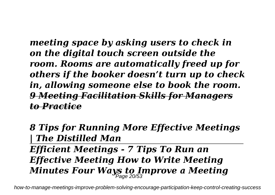*meeting space by asking users to check in on the digital touch screen outside the room. Rooms are automatically freed up for others if the booker doesn't turn up to check in, allowing someone else to book the room. 9 Meeting Facilitation Skills for Managers to Practice*

*8 Tips for Running More Effective Meetings | The Distilled Man Efficient Meetings - 7 Tips To Run an Effective Meeting How to Write Meeting Minutes Four Ways to Improve a Meeting* Page 20/53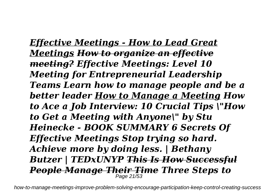*Effective Meetings - How to Lead Great Meetings How to organize an effective meeting? Effective Meetings: Level 10 Meeting for Entrepreneurial Leadership Teams Learn how to manage people and be a better leader How to Manage a Meeting How to Ace a Job Interview: 10 Crucial Tips \"How to Get a Meeting with Anyone\" by Stu Heinecke - BOOK SUMMARY 6 Secrets Of Effective Meetings Stop trying so hard. Achieve more by doing less. | Bethany Butzer | TEDxUNYP This Is How Successful People Manage Their Time Three Steps to* Page 21/53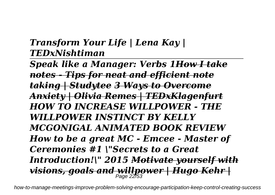### *Transform Your Life | Lena Kay | TEDxNishtiman*

*Speak like a Manager: Verbs 1How I take notes - Tips for neat and efficient note taking | Studytee 3 Ways to Overcome Anxiety | Olivia Remes | TEDxKlagenfurt HOW TO INCREASE WILLPOWER - THE WILLPOWER INSTINCT BY KELLY MCGONIGAL ANIMATED BOOK REVIEW How to be a great MC - Emcee - Master of Ceremonies #1 \"Secrets to a Great Introduction!\" 2015 Motivate yourself with visions, goals and willpower | Hugo Kehr |* Page 22/53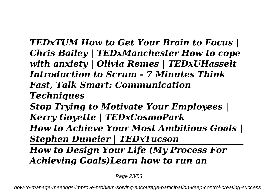*TEDxTUM How to Get Your Brain to Focus | Chris Bailey | TEDxManchester How to cope with anxiety | Olivia Remes | TEDxUHasselt Introduction to Scrum - 7 Minutes Think Fast, Talk Smart: Communication Techniques*

*Stop Trying to Motivate Your Employees | Kerry Goyette | TEDxCosmoPark*

*How to Achieve Your Most Ambitious Goals | Stephen Duneier | TEDxTucson*

*How to Design Your Life (My Process For Achieving Goals)Learn how to run an*

Page 23/53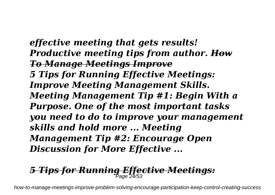*effective meeting that gets results! Productive meeting tips from author. How To Manage Meetings Improve 5 Tips for Running Effective Meetings: Improve Meeting Management Skills. Meeting Management Tip #1: Begin With a Purpose. One of the most important tasks you need to do to improve your management skills and hold more ... Meeting Management Tip #2: Encourage Open Discussion for More Effective ...*

## *5 Tips for Running Effective Meetings:* Page 24/53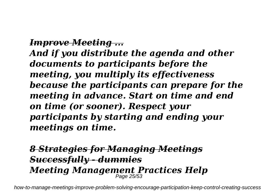#### *Improve Meeting ...*

*And if you distribute the agenda and other documents to participants before the meeting, you multiply its effectiveness because the participants can prepare for the meeting in advance. Start on time and end on time (or sooner). Respect your participants by starting and ending your meetings on time.*

### *8 Strategies for Managing Meetings Successfully - dummies Meeting Management Practices Help* Page 25/53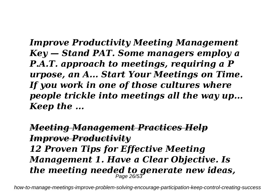*Improve Productivity Meeting Management Key — Stand PAT. Some managers employ a P.A.T. approach to meetings, requiring a P urpose, an A... Start Your Meetings on Time. If you work in one of those cultures where people trickle into meetings all the way up... Keep the ...*

*Meeting Management Practices Help Improve Productivity 12 Proven Tips for Effective Meeting Management 1. Have a Clear Objective. Is the meeting needed to generate new ideas,* Page 26/53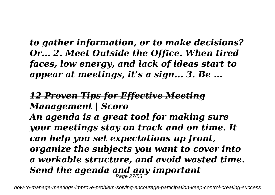### *to gather information, or to make decisions? Or... 2. Meet Outside the Office. When tired faces, low energy, and lack of ideas start to appear at meetings, it's a sign... 3. Be ...*

### *12 Proven Tips for Effective Meeting Management | Scoro*

*An agenda is a great tool for making sure your meetings stay on track and on time. It can help you set expectations up front, organize the subjects you want to cover into a workable structure, and avoid wasted time. Send the agenda and any important* Page 27/53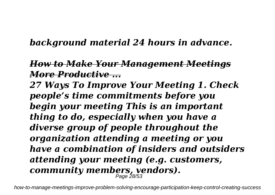### *background material 24 hours in advance.*

### *How to Make Your Management Meetings More Productive ...*

*27 Ways To Improve Your Meeting 1. Check people's time commitments before you begin your meeting This is an important thing to do, especially when you have a diverse group of people throughout the organization attending a meeting or you have a combination of insiders and outsiders attending your meeting (e.g. customers, community members, vendors).* Page 28/53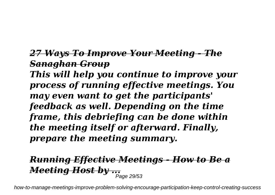### *27 Ways To Improve Your Meeting - The Sanaghan Group*

*This will help you continue to improve your process of running effective meetings. You may even want to get the participants' feedback as well. Depending on the time frame, this debriefing can be done within the meeting itself or afterward. Finally, prepare the meeting summary.*

## *Running Effective Meetings - How to Be a Meeting Host by ...* Page 29/53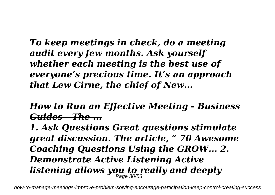*To keep meetings in check, do a meeting audit every few months. Ask yourself whether each meeting is the best use of everyone's precious time. It's an approach that Lew Cirne, the chief of New...*

*How to Run an Effective Meeting - Business Guides - The ...*

*1. Ask Questions Great questions stimulate great discussion. The article, " 70 Awesome Coaching Questions Using the GROW... 2. Demonstrate Active Listening Active listening allows you to really and deeply* Page 30/53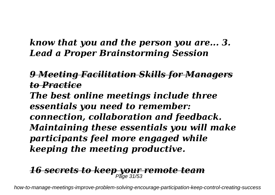### *know that you and the person you are... 3. Lead a Proper Brainstorming Session*

### *9 Meeting Facilitation Skills for Managers to Practice*

*The best online meetings include three essentials you need to remember: connection, collaboration and feedback. Maintaining these essentials you will make participants feel more engaged while keeping the meeting productive.*

# *16 secrets to keep your remote team* Page 31/53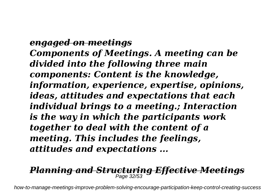*engaged on meetings Components of Meetings. A meeting can be divided into the following three main components: Content is the knowledge, information, experience, expertise, opinions, ideas, attitudes and expectations that each individual brings to a meeting.; Interaction is the way in which the participants work together to deal with the content of a meeting. This includes the feelings, attitudes and expectations ...*

#### *Planning and Structuring Effective Meetings* Page 32/53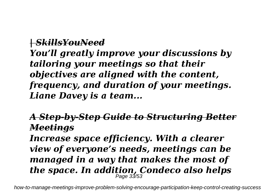#### *| SkillsYouNeed*

*You'll greatly improve your discussions by tailoring your meetings so that their objectives are aligned with the content, frequency, and duration of your meetings. Liane Davey is a team...*

### *A Step-by-Step Guide to Structuring Better Meetings*

*Increase space efficiency. With a clearer view of everyone's needs, meetings can be managed in a way that makes the most of the space. In addition, Condeco also helps* Page 33/53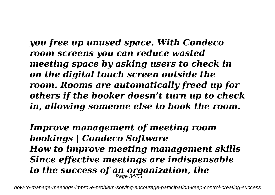*you free up unused space. With Condeco room screens you can reduce wasted meeting space by asking users to check in on the digital touch screen outside the room. Rooms are automatically freed up for others if the booker doesn't turn up to check in, allowing someone else to book the room.*

*Improve management of meeting room bookings | Condeco Software How to improve meeting management skills Since effective meetings are indispensable to the success of an organization, the* Page 34/53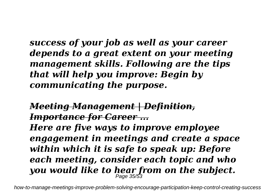*success of your job as well as your career depends to a great extent on your meeting management skills. Following are the tips that will help you improve: Begin by communicating the purpose.*

*Meeting Management | Definition, Importance for Career ... Here are five ways to improve employee engagement in meetings and create a space within which it is safe to speak up: Before each meeting, consider each topic and who you would like to hear from on the subject.* Page 35/53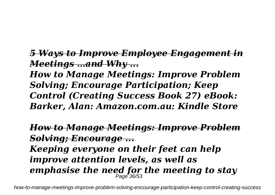*5 Ways to Improve Employee Engagement in Meetings …and Why ...*

*How to Manage Meetings: Improve Problem Solving; Encourage Participation; Keep Control (Creating Success Book 27) eBook: Barker, Alan: Amazon.com.au: Kindle Store*

*How to Manage Meetings: Improve Problem Solving; Encourage ...*

*Keeping everyone on their feet can help improve attention levels, as well as emphasise the need for the meeting to stay* Page 36/53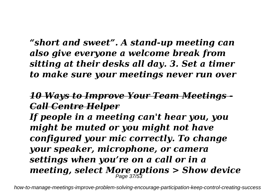*"short and sweet". A stand-up meeting can also give everyone a welcome break from sitting at their desks all day. 3. Set a timer to make sure your meetings never run over*

### *10 Ways to Improve Your Team Meetings - Call Centre Helper*

*If people in a meeting can't hear you, you might be muted or you might not have configured your mic correctly. To change your speaker, microphone, or camera settings when you're on a call or in a meeting, select More options > Show device* Page 37/53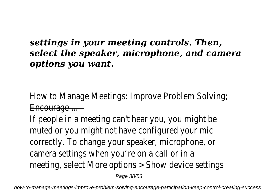### *settings in your meeting controls. Then, select the speaker, microphone, and camera options you want.*

) Manage Meetings: Improve Problem Solv Encourage ...

If people in a meeting can't hear you, you might muted or you might not have configured your r correctly. To change your speaker, microphone, camera settings when you're on a call or in meeting, select More options > Show device setting

Page 38/53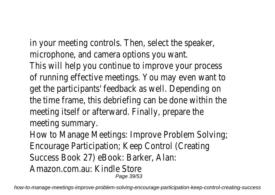in your meeting controls. Then, select the speak microphone, and camera options you want This will help you continue to improve your proce of running effective meetings. You may even want get the participants' feedback as well. Depending the time frame, this debriefing can be done within meeting itself or afterward. Finally, prepare meeting summary.

How to Manage Meetings: Improve Problem Solving Encourage Participation; Keep Control (Creat Success Book 27) eBook: Barker, Ala Amazon.com.au: Kindle Store

Page 39/53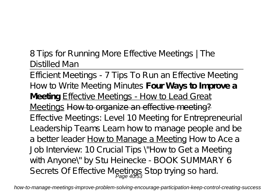8 Tips for Running More Effective Meetings | The Distilled Man

Efficient Meetings - 7 Tips To Run an Effective Meeting How to Write Meeting Minutes **Four Ways to Improve a Meeting** Effective Meetings - How to Lead Great Meetings How to organize an effective meeting? Effective Meetings: Level 10 Meeting for Entrepreneurial Leadership Teams *Learn how to manage people and be a better leader* How to Manage a Meeting *How to Ace a Job Interview: 10 Crucial Tips \"How to Get a Meeting with Anyone\" by Stu Heinecke - BOOK SUMMARY 6 Secrets Of Effective Meetings Stop trying so hard.* Page 40/53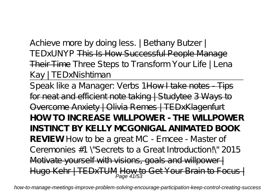*Achieve more by doing less. | Bethany Butzer | TEDxUNYP* This Is How Successful People Manage Their Time *Three Steps to Transform Your Life | Lena Kay | TEDxNishtiman*

Speak like a Manager: Verbs 1How I take notes - Tips for neat and efficient note taking | Studytee 3 Ways to Overcome Anxiety | Olivia Remes | TEDxKlagenfurt **HOW TO INCREASE WILLPOWER - THE WILLPOWER INSTINCT BY KELLY MCGONIGAL ANIMATED BOOK REVIEW** How to be a great MC - Emcee - Master of Ceremonies #1 \"Secrets to a Great Introduction!\" 2015 Motivate yourself with visions, goals and willpower | Hugo Kehr | TEDxTUM How to Get Your Brain to Focus | Page 41/53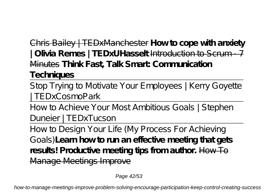Chris Bailey | TEDxManchester **How to cope with anxiety | Olivia Remes | TEDxUHasselt** Introduction to Scrum - 7 Minutes **Think Fast, Talk Smart: Communication Techniques**

Stop Trying to Motivate Your Employees | Kerry Goyette | TEDxCosmoPark

How to Achieve Your Most Ambitious Goals | Stephen Duneier | TEDxTucson

How to Design Your Life (My Process For Achieving Goals)**Learn how to run an effective meeting that gets** results! Productive meeting tips from author. How To Manage Meetings Improve

Page 42/53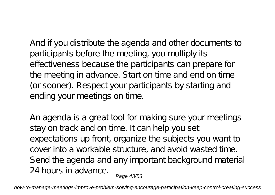And if you distribute the agenda and other documents to participants before the meeting, you multiply its effectiveness because the participants can prepare for the meeting in advance. Start on time and end on time (or sooner). Respect your participants by starting and ending your meetings on time.

An agenda is a great tool for making sure your meetings stay on track and on time. It can help you set expectations up front, organize the subjects you want to cover into a workable structure, and avoid wasted time. Send the agenda and any important background material 24 hours in advance. Page 43/53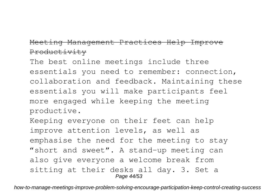#### Meeting Management Practices Help Improve Productivity

The best online meetings include three essentials you need to remember: connection, collaboration and feedback. Maintaining these essentials you will make participants feel more engaged while keeping the meeting productive.

Keeping everyone on their feet can help improve attention levels, as well as emphasise the need for the meeting to stay "short and sweet". A stand-up meeting can also give everyone a welcome break from sitting at their desks all day. 3. Set a Page 44/53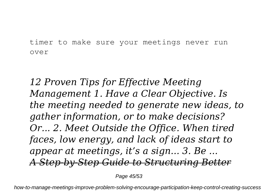timer to make sure your meetings never run over

*12 Proven Tips for Effective Meeting Management 1. Have a Clear Objective. Is the meeting needed to generate new ideas, to gather information, or to make decisions? Or... 2. Meet Outside the Office. When tired faces, low energy, and lack of ideas start to appear at meetings, it's a sign... 3. Be ... A Step-by-Step Guide to Structuring Better*

Page 45/53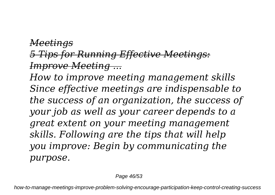### *Meetings 5 Tips for Running Effective Meetings: Improve Meeting ...*

*How to improve meeting management skills Since effective meetings are indispensable to the success of an organization, the success of your job as well as your career depends to a great extent on your meeting management skills. Following are the tips that will help you improve: Begin by communicating the purpose.*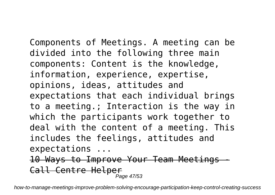Components of Meetings. A meeting can be divided into the following three main components: Content is the knowledge, information, experience, expertise, opinions, ideas, attitudes and expectations that each individual brings to a meeting.; Interaction is the way in which the participants work together to deal with the content of a meeting. This includes the feelings, attitudes and expectations ...

10 Ways to Improve Your Team Meetings Call Centre Helper Page 47/53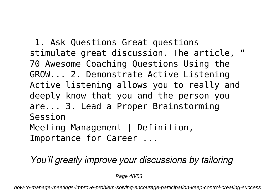1. Ask Questions Great questions stimulate great discussion. The article, " 70 Awesome Coaching Questions Using the GROW... 2. Demonstrate Active Listening Active listening allows you to really and deeply know that you and the person you are... 3. Lead a Proper Brainstorming Session Meeting Management | Definition, Importance for Career ...

*You'll greatly improve your discussions by tailoring*

Page 48/53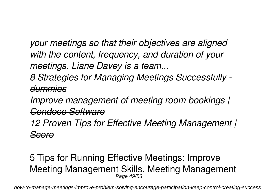*your meetings so that their objectives are aligned with the content, frequency, and duration of your meetings. Liane Davey is a team...*

*8 Strategies for Managing Meetings Successfully dummies*

*Improve management of meeting room bookings | Condeco Software*

*12 Proven Tips for Effective Meeting Management | Scoro*

#### 5 Tips for Running Effective Meetings: Improve Meeting Management Skills. Meeting Management Page 49/53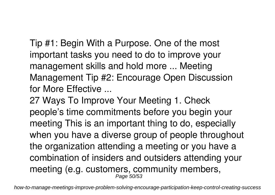Tip #1: Begin With a Purpose. One of the most important tasks you need to do to improve your management skills and hold more ... Meeting Management Tip #2: Encourage Open Discussion for More Effective ...

27 Ways To Improve Your Meeting 1. Check people's time commitments before you begin your meeting This is an important thing to do, especially when you have a diverse group of people throughout the organization attending a meeting or you have a combination of insiders and outsiders attending your meeting (e.g. customers, community members, Page 50/53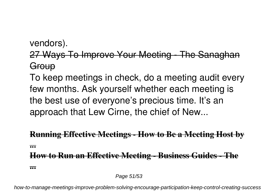### vendors).

### 27 Ways To Improve Your Meeting - The Sanaghan **Group**

To keep meetings in check, do a meeting audit every few months. Ask yourself whether each meeting is the best use of everyone's precious time. It's an approach that Lew Cirne, the chief of New...

### **Running Effective Meetings - How to Be a Meeting Host by ... How to Run an Effective Meeting - Business Guides - The**

**...**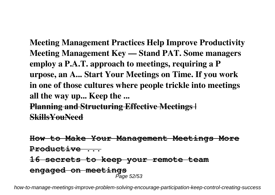**Meeting Management Practices Help Improve Productivity Meeting Management Key — Stand PAT. Some managers employ a P.A.T. approach to meetings, requiring a P urpose, an A... Start Your Meetings on Time. If you work in one of those cultures where people trickle into meetings all the way up... Keep the ... Planning and Structuring Effective Meetings | SkillsYouNeed**

**How to Make Your Management Meetings More Productive ... 16 secrets to keep your remote team engaged on meetings** Page 52/53